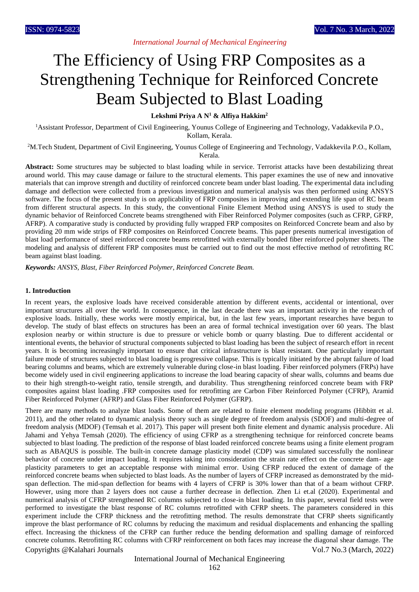# *International Journal of Mechanical Engineering*

# The Efficiency of Using FRP Composites as a Strengthening Technique for Reinforced Concrete Beam Subjected to Blast Loading

### **Lekshmi Priya A N<sup>1</sup> & Alfiya Hakkim<sup>2</sup>**

<sup>1</sup>Assistant Professor, Department of Civil Engineering, Younus College of Engineering and Technology, Vadakkevila P.O., Kollam, Kerala.

<sup>2</sup>M.Tech Student, Department of Civil Engineering, Younus College of Engineering and Technology, Vadakkevila P.O., Kollam, Kerala.

**Abstract:** Some structures may be subjected to blast loading while in service. Terrorist attacks have been destabilizing threat around world. This may cause damage or failure to the structural elements. This paper examines the use of new and innovative materials that can improve strength and ductility of reinforced concrete beam under blast loading. The experimental data including damage and deflection were collected from a previous investigation and numerical analysis was then performed using ANSYS software. The focus of the present study is on applicability of FRP composites in improving and extending life span of RC beam from different structural aspects. In this study, the conventional Finite Element Method using ANSYS is used to study the dynamic behavior of Reinforced Concrete beams strengthened with Fiber Reinforced Polymer composites (such as CFRP, GFRP, AFRP). A comparative study is conducted by providing fully wrapped FRP composites on Reinforced Concrete beam and also by providing 20 mm wide strips of FRP composites on Reinforced Concrete beams. This paper presents numerical investigation of blast load performance of steel reinforced concrete beams retrofitted with externally bonded fiber reinforced polymer sheets. The modeling and analysis of different FRP composites must be carried out to find out the most effective method of retrofitting RC beam against blast loading.

*Keywords: ANSYS, Blast, Fiber Reinforced Polymer, Reinforced Concrete Beam.*

## **1. Introduction**

In recent years, the explosive loads have received considerable attention by different events, accidental or intentional, over important structures all over the world. In consequence, in the last decade there was an important activity in the research of explosive loads. Initially, these works were mostly empirical, but, in the last few years, important researches have begun to develop. The study of blast effects on structures has been an area of formal technical investigation over 60 years. The blast explosion nearby or within structure is due to pressure or vehicle bomb or quarry blasting. Due to different accidental or intentional events, the behavior of structural components subjected to blast loading has been the subject of research effort in recent years. It is becoming increasingly important to ensure that critical infrastructure is blast resistant. One particularly important failure mode of structures subjected to blast loading is progressive collapse. This is typically initiated by the abrupt failure of load bearing columns and beams, which are extremely vulnerable during close-in blast loading. Fiber reinforced polymers (FRPs) have become widely used in civil engineering applications to increase the load bearing capacity of shear walls, columns and beams due to their high strength-to-weight ratio, tensile strength, and durability. Thus strengthening reinforced concrete beam with FRP composites against blast loading .FRP composites used for retrofitting are Carbon Fiber Reinforced Polymer (CFRP), Aramid Fiber Reinforced Polymer (AFRP) and Glass Fiber Reinforced Polymer (GFRP).

Copyrights @Kalahari Journals Vol.7 No.3 (March, 2022) There are many methods to analyze blast loads. Some of them are related to finite element modeling programs (Hibbitt et al. 2011), and the other related to dynamic analysis theory such as single degree of freedom analysis (SDOF) and multi-degree of freedom analysis (MDOF) (Temsah et al. 2017). This paper will present both finite element and dynamic analysis procedure. Ali Jahami and Yehya Temsah (2020). The efficiency of using CFRP as a strengthening technique for reinforced concrete beams subjected to blast loading. The prediction of the response of blast loaded reinforced concrete beams using a finite element program such as ABAQUS is possible. The built-in concrete damage plasticity model (CDP) was simulated successfully the nonlinear behavior of concrete under impact loading. It requires taking into consideration the strain rate effect on the concrete dam- age plasticity parameters to get an acceptable response with minimal error. Using CFRP reduced the extent of damage of the reinforced concrete beams when subjected to blast loads. As the number of layers of CFRP increased as demonstrated by the midspan deflection. The mid-span deflection for beams with 4 layers of CFRP is 30% lower than that of a beam without CFRP. However, using more than 2 layers does not cause a further decrease in deflection. Zhen Li et.al (2020). Experimental and numerical analysis of CFRP strengthened RC columns subjected to close-in blast loading. In this paper, several field tests were performed to investigate the blast response of RC columns retrofitted with CFRP sheets. The parameters considered in this experiment include the CFRP thickness and the retrofitting method. The results demonstrate that CFRP sheets significantly improve the blast performance of RC columns by reducing the maximum and residual displacements and enhancing the spalling effect. Increasing the thickness of the CFRP can further reduce the bending deformation and spalling damage of reinforced concrete columns. Retrofitting RC columns with CFRP reinforcement on both faces may increase the diagonal shear damage. The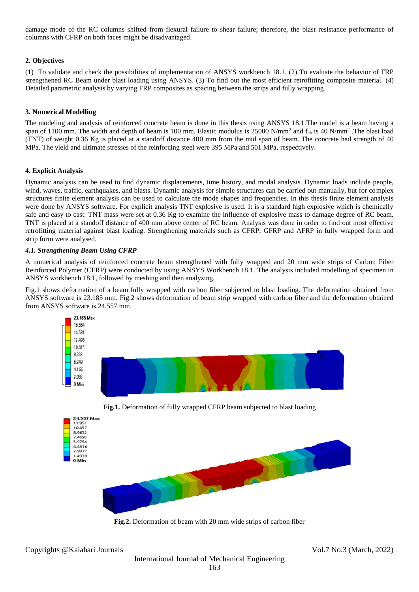damage mode of the RC columns shifted from flexural failure to shear failure; therefore, the blast resistance performance of columns with CFRP on both faces might be disadvantaged.

# **2. Objectives**

(1) To validate and check the possibilities of implementation of ANSYS workbench 18.1. (2) To evaluate the behavior of FRP strengthened RC Beam under blast loading using ANSYS. (3) To find out the most efficient retrofitting composite material. (4) Detailed parametric analysis by varying FRP composites as spacing between the strips and fully wrapping.

# **3. Numerical Modelling**

The modeling and analysis of reinforced concrete beam is done in this thesis using ANSYS 18.1.The model is a beam having a span of 1100 mm. The width and depth of beam is 100 mm. Elastic modulus is 25000 N/mm<sup>2</sup> and  $f_{ck}$  is 40 N/mm<sup>2</sup>. The blast load (TNT) of weight 0.36 Kg is placed at a standoff distance 400 mm from the mid span of beam. The concrete had strength of 40 MPa. The yield and ultimate stresses of the reinforcing steel were 395 MPa and 501 MPa, respectively.

## **4. Explicit Analysis**

Dynamic analysis can be used to find dynamic displacements, time history, and modal analysis. Dynamic loads include people, wind, waves, traffic, earthquakes, and blasts. Dynamic analysis for simple structures can be carried out manually, but for complex structures finite element analysis can be used to calculate the mode shapes and frequencies. In this thesis finite element analysis were done by ANSYS software. For explicit analysis TNT explosive is used. It is a standard high explosive which is chemically safe and easy to cast. TNT mass were set at 0.36 Kg to examine the influence of explosive mass to damage degree of RC beam. TNT is placed at a standoff distance of 400 mm above center of RC beam. Analysis was done in order to find out most effective retrofitting material against blast loading. Strengthening materials such as CFRP, GFRP and AFRP in fully wrapped form and strip form were analysed.

#### *4.1. Strengthening Beam Using CFRP*

A numerical analysis of reinforced concrete beam strengthened with fully wrapped and 20 mm wide strips of Carbon Fiber Reinforced Polymer (CFRP) were conducted by using ANSYS Workbench 18.1. The analysis included modelling of specimen in ANSYS workbench 18.1, followed by meshing and then analyzing.

Fig.1 shows deformation of a beam fully wrapped with carbon fiber subjected to blast loading. The deformation obtained from ANSYS software is 23.185 mm. Fig.2 shows deformation of beam strip wrapped with carbon fiber and the deformation obtained from ANSYS software is 24.557 mm.



**Fig.2.** Deformation of beam with 20 mm wide strips of carbon fiber

Copyrights @Kalahari Journals Vol.7 No.3 (March, 2022)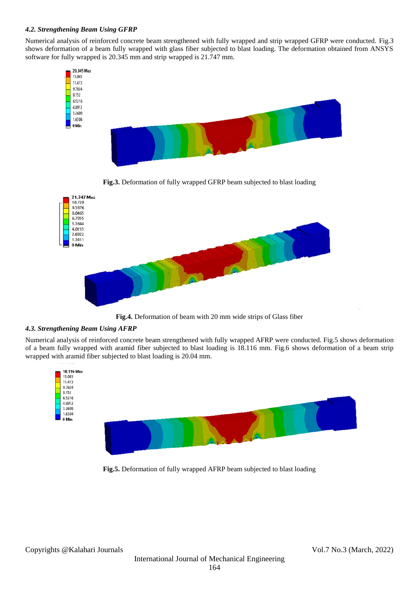## *4.2. Strengthening Beam Using GFRP*

Numerical analysis of reinforced concrete beam strengthened with fully wrapped and strip wrapped GFRP were conducted. Fig.3 shows deformation of a beam fully wrapped with glass fiber subjected to blast loading. The deformation obtained from ANSYS software for fully wrapped is 20.345 mm and strip wrapped is 21.747 mm.



**Fig.3.** Deformation of fully wrapped GFRP beam subjected to blast loading



**Fig.4.** Deformation of beam with 20 mm wide strips of Glass fiber

# *4.3. Strengthening Beam Using AFRP*

Numerical analysis of reinforced concrete beam strengthened with fully wrapped AFRP were conducted. Fig.5 shows deformation of a beam fully wrapped with aramid fiber subjected to blast loading is 18.116 mm. Fig.6 shows deformation of a beam strip wrapped with aramid fiber subjected to blast loading is 20.04 mm.



**Fig.5.** Deformation of fully wrapped AFRP beam subjected to blast loading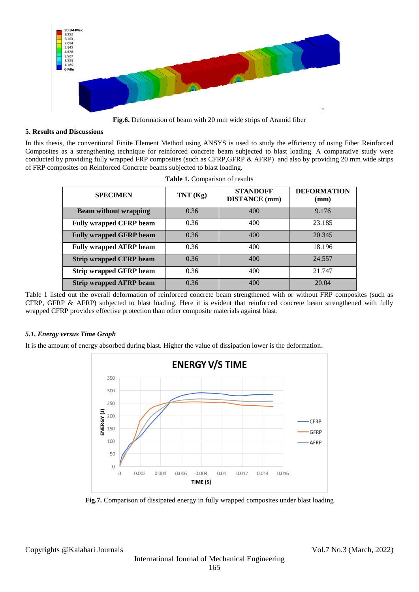

**Fig.6.** Deformation of beam with 20 mm wide strips of Aramid fiber

### **5. Results and Discussions**

In this thesis, the conventional Finite Element Method using ANSYS is used to study the efficiency of using Fiber Reinforced Composites as a strengthening technique for reinforced concrete beam subjected to blast loading. A comparative study were conducted by providing fully wrapped FRP composites (such as CFRP,GFRP & AFRP) and also by providing 20 mm wide strips of FRP composites on Reinforced Concrete beams subjected to blast loading.

| <b>SPECIMEN</b>                | TNT(Kg) | <b>STANDOFF</b><br><b>DISTANCE</b> (mm) | <b>DEFORMATION</b><br>$(\mathbf{mm})$ |
|--------------------------------|---------|-----------------------------------------|---------------------------------------|
| <b>Beam without wrapping</b>   | 0.36    | 400                                     | 9.176                                 |
| <b>Fully wrapped CFRP beam</b> | 0.36    | 400                                     | 23.185                                |
| <b>Fully wrapped GFRP beam</b> | 0.36    | 400                                     | 20.345                                |
| <b>Fully wrapped AFRP beam</b> | 0.36    | 400                                     | 18.196                                |
| <b>Strip wrapped CFRP beam</b> | 0.36    | 400                                     | 24.557                                |
| <b>Strip wrapped GFRP beam</b> | 0.36    | 400                                     | 21.747                                |
| <b>Strip wrapped AFRP beam</b> | 0.36    | 400                                     | 20.04                                 |

**Table 1.** Comparison of results

Table 1 listed out the overall deformation of reinforced concrete beam strengthened with or without FRP composites (such as CFRP, GFRP & AFRP) subjected to blast loading. Here it is evident that reinforced concrete beam strengthened with fully wrapped CFRP provides effective protection than other composite materials against blast.

## *5.1. Energy versus Time Graph*

It is the amount of energy absorbed during blast. Higher the value of dissipation lower is the deformation.



**Fig.7.** Comparison of dissipated energy in fully wrapped composites under blast loading

Copyrights @Kalahari Journals Vol.7 No.3 (March, 2022)